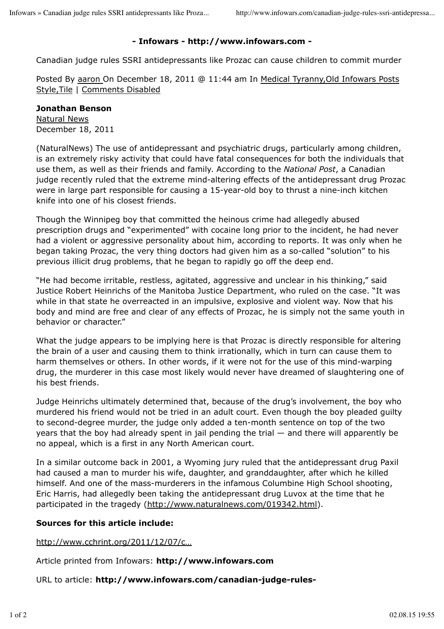## **- Infowars - http://www.infowars.com -**

Canadian judge rules SSRI antidepressants like Prozac can cause children to commit murder

Posted By aaron On December 18, 2011 @ 11:44 am In Medical Tyranny,Old Infowars Posts Style,Tile | Comments Disabled

## **Jonathan Benson**

Natural News December 18, 2011

(NaturalNews) The use of antidepressant and psychiatric drugs, particularly among children, is an extremely risky activity that could have fatal consequences for both the individuals that use them, as well as their friends and family. According to the *National Post*, a Canadian judge recently ruled that the extreme mind-altering effects of the antidepressant drug Prozac were in large part responsible for causing a 15-year-old boy to thrust a nine-inch kitchen knife into one of his closest friends.

Though the Winnipeg boy that committed the heinous crime had allegedly abused prescription drugs and "experimented" with cocaine long prior to the incident, he had never had a violent or aggressive personality about him, according to reports. It was only when he began taking Prozac, the very thing doctors had given him as a so-called "solution" to his previous illicit drug problems, that he began to rapidly go off the deep end.

"He had become irritable, restless, agitated, aggressive and unclear in his thinking," said Justice Robert Heinrichs of the Manitoba Justice Department, who ruled on the case. "It was while in that state he overreacted in an impulsive, explosive and violent way. Now that his body and mind are free and clear of any effects of Prozac, he is simply not the same youth in behavior or character."

What the judge appears to be implying here is that Prozac is directly responsible for altering the brain of a user and causing them to think irrationally, which in turn can cause them to harm themselves or others. In other words, if it were not for the use of this mind-warping drug, the murderer in this case most likely would never have dreamed of slaughtering one of his best friends.

Judge Heinrichs ultimately determined that, because of the drug's involvement, the boy who murdered his friend would not be tried in an adult court. Even though the boy pleaded guilty to second-degree murder, the judge only added a ten-month sentence on top of the two years that the boy had already spent in jail pending the trial — and there will apparently be no appeal, which is a first in any North American court.

In a similar outcome back in 2001, a Wyoming jury ruled that the antidepressant drug Paxil had caused a man to murder his wife, daughter, and granddaughter, after which he killed himself. And one of the mass-murderers in the infamous Columbine High School shooting, Eric Harris, had allegedly been taking the antidepressant drug Luvox at the time that he participated in the tragedy (http://www.naturalnews.com/019342.html).

## **Sources for this article include:**

http://www.cchrint.org/2011/12/07/c…

Article printed from Infowars: **http://www.infowars.com**

URL to article: **http://www.infowars.com/canadian-judge-rules-**